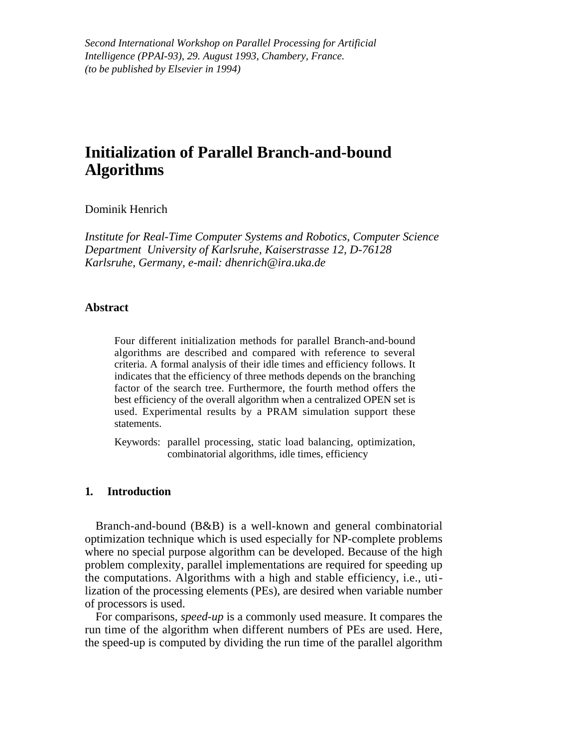*Second International Workshop on Parallel Processing for Artificial Intelligence (PPAI-93), 29. August 1993, Chambery, France. (to be published by Elsevier in 1994)*

# **Initialization of Parallel Branch-and-bound Algorithms**

## Dominik Henrich

*Institute for Real-Time Computer Systems and Robotics, Computer Science Department University of Karlsruhe, Kaiserstrasse 12, D-76128 Karlsruhe, Germany, e-mail: dhenrich@ira.uka.de*

## **Abstract**

Four different initialization methods for parallel Branch-and-bound algorithms are described and compared with reference to several criteria. A formal analysis of their idle times and efficiency follows. It indicates that the efficiency of three methods depends on the branching factor of the search tree. Furthermore, the fourth method offers the best efficiency of the overall algorithm when a centralized OPEN set is used. Experimental results by a PRAM simulation support these statements.

Keywords: parallel processing, static load balancing, optimization, combinatorial algorithms, idle times, efficiency

## **1. Introduction**

Branch-and-bound (B&B) is a well-known and general combinatorial optimization technique which is used especially for NP-complete problems where no special purpose algorithm can be developed. Because of the high problem complexity, parallel implementations are required for speeding up the computations. Algorithms with a high and stable efficiency, i.e., utilization of the processing elements (PEs), are desired when variable number of processors is used.

For comparisons, *speed-up* is a commonly used measure. It compares the run time of the algorithm when different numbers of PEs are used. Here, the speed-up is computed by dividing the run time of the parallel algorithm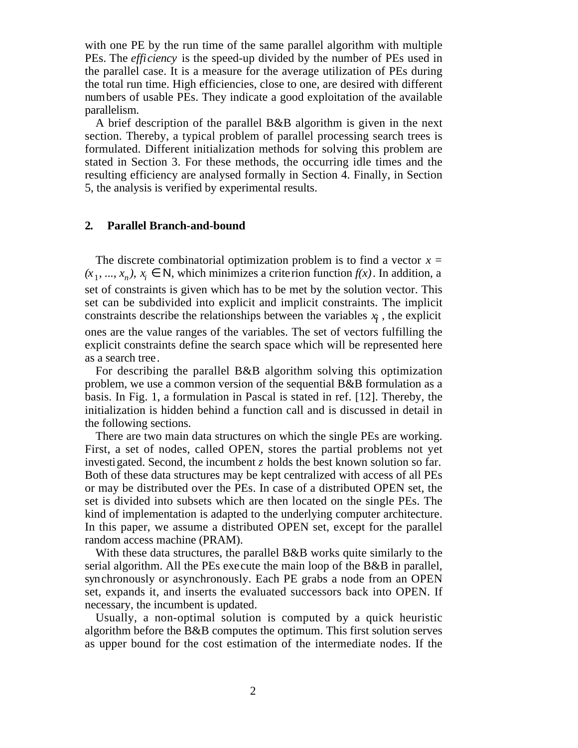with one PE by the run time of the same parallel algorithm with multiple PEs. The *efficiency* is the speed-up divided by the number of PEs used in the parallel case. It is a measure for the average utilization of PEs during the total run time. High efficiencies, close to one, are desired with different numbers of usable PEs. They indicate a good exploitation of the available parallelism.

A brief description of the parallel B&B algorithm is given in the next section. Thereby, a typical problem of parallel processing search trees is formulated. Different initialization methods for solving this problem are stated in Section 3. For these methods, the occurring idle times and the resulting efficiency are analysed formally in Section 4. Finally, in Section 5, the analysis is verified by experimental results.

# **2. Parallel Branch-and-bound**

The discrete combinatorial optimization problem is to find a vector *x =*  $(x_1, ..., x_n)$ ,  $x_i$  ∈ N, which minimizes a criterion function  $f(x)$ . In addition, a set of constraints is given which has to be met by the solution vector. This set can be subdivided into explicit and implicit constraints. The implicit constraints describe the relationships between the variables  $x_i$ , the explicit ones are the value ranges of the variables. The set of vectors fulfilling the explicit constraints define the search space which will be represented here as a search tree.

For describing the parallel B&B algorithm solving this optimization problem, we use a common version of the sequential B&B formulation as a basis. In Fig. 1, a formulation in Pascal is stated in ref. [12]. Thereby, the initialization is hidden behind a function call and is discussed in detail in the following sections.

There are two main data structures on which the single PEs are working. First, a set of nodes, called OPEN, stores the partial problems not yet investigated. Second, the incumbent  $z$  holds the best known solution so far. Both of these data structures may be kept centralized with access of all PEs or may be distributed over the PEs. In case of a distributed OPEN set, the set is divided into subsets which are then located on the single PEs. The kind of implementation is adapted to the underlying computer architecture. In this paper, we assume a distributed OPEN set, except for the parallel random access machine (PRAM).

With these data structures, the parallel B&B works quite similarly to the serial algorithm. All the PEs execute the main loop of the B&B in parallel, synchronously or asynchronously. Each PE grabs a node from an OPEN set, expands it, and inserts the evaluated successors back into OPEN. If necessary, the incumbent is updated.

Usually, a non-optimal solution is computed by a quick heuristic algorithm before the B&B computes the optimum. This first solution serves as upper bound for the cost estimation of the intermediate nodes. If the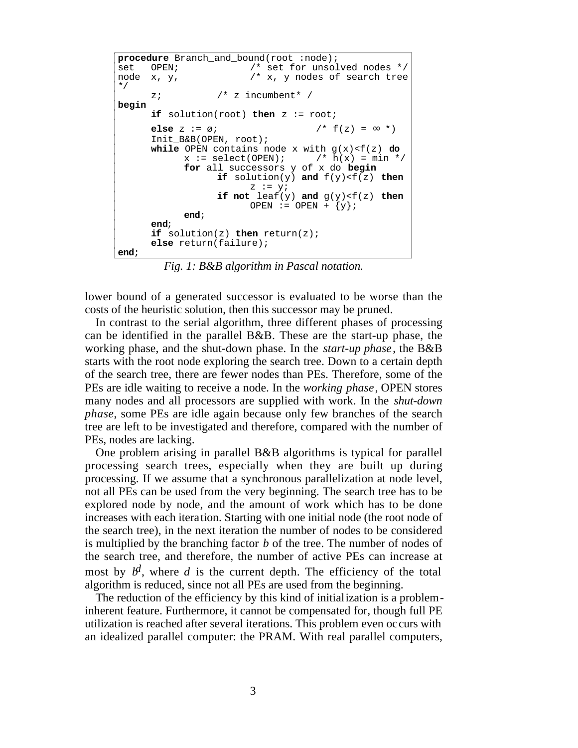```
procedure Branch and bound(root :node);
set OPEN; /* set for unsolved nodes */node x, y, \frac{y}{x}, \frac{y}{x}, y nodes of search tree
*/
     z; /* z incumbent* /
begin
     if solution(root) then z := root;
     else z := \emptyset; / * f(z) = \infty *Init_B&B(OPEN, root);
     while OPEN contains node x with g(x) < f(z) do
           x := select(OPEN); /* h(x) = min */
           for all successors y of x do begin
                 if solution(y) and f(y) < f(z) then
                       z := y;if not leaf(y) and g(y) < f(z) then
                       OPEN := OPEN + {y};
           end;
     end;
     if solution(z) then return(z);
     else return(failure);
end;
```
*Fig. 1: B&B algorithm in Pascal notation.*

lower bound of a generated successor is evaluated to be worse than the costs of the heuristic solution, then this successor may be pruned.

In contrast to the serial algorithm, three different phases of processing can be identified in the parallel B&B. These are the start-up phase, the working phase, and the shut-down phase. In the *start-up phase*, the B&B starts with the root node exploring the search tree. Down to a certain depth of the search tree, there are fewer nodes than PEs. Therefore, some of the PEs are idle waiting to receive a node. In the *working phase*, OPEN stores many nodes and all processors are supplied with work. In the *shut-down phase*, some PEs are idle again because only few branches of the search tree are left to be investigated and therefore, compared with the number of PEs, nodes are lacking.

One problem arising in parallel B&B algorithms is typical for parallel processing search trees, especially when they are built up during processing. If we assume that a synchronous parallelization at node level, not all PEs can be used from the very beginning. The search tree has to be explored node by node, and the amount of work which has to be done increases with each iteration. Starting with one initial node (the root node of the search tree), in the next iteration the number of nodes to be considered is multiplied by the branching factor *b* of the tree. The number of nodes of the search tree, and therefore, the number of active PEs can increase at most by  $\mathcal{B}^l$ , where *d* is the current depth. The efficiency of the total algorithm is reduced, since not all PEs are used from the beginning.

The reduction of the efficiency by this kind of initialization is a probleminherent feature. Furthermore, it cannot be compensated for, though full PE utilization is reached after several iterations. This problem even occurs with an idealized parallel computer: the PRAM. With real parallel computers,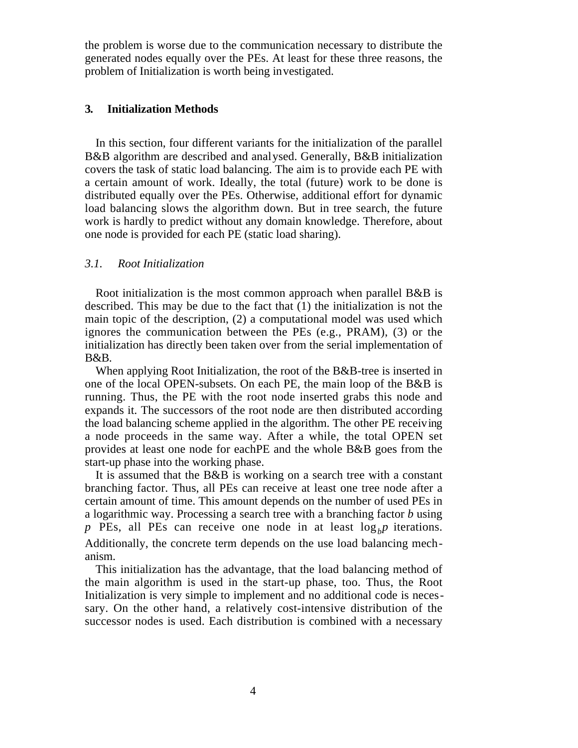the problem is worse due to the communication necessary to distribute the generated nodes equally over the PEs. At least for these three reasons, the problem of Initialization is worth being investigated.

# **3. Initialization Methods**

In this section, four different variants for the initialization of the parallel B&B algorithm are described and analysed. Generally, B&B initialization covers the task of static load balancing. The aim is to provide each PE with a certain amount of work. Ideally, the total (future) work to be done is distributed equally over the PEs. Otherwise, additional effort for dynamic load balancing slows the algorithm down. But in tree search, the future work is hardly to predict without any domain knowledge. Therefore, about one node is provided for each PE (static load sharing).

## *3.1. Root Initialization*

Root initialization is the most common approach when parallel B&B is described. This may be due to the fact that (1) the initialization is not the main topic of the description, (2) a computational model was used which ignores the communication between the PEs (e.g., PRAM), (3) or the initialization has directly been taken over from the serial implementation of B&B.

When applying Root Initialization, the root of the B&B-tree is inserted in one of the local OPEN-subsets. On each PE, the main loop of the B&B is running. Thus, the PE with the root node inserted grabs this node and expands it. The successors of the root node are then distributed according the load balancing scheme applied in the algorithm. The other PE receiving a node proceeds in the same way. After a while, the total OPEN set provides at least one node for eachPE and the whole B&B goes from the start-up phase into the working phase.

It is assumed that the B&B is working on a search tree with a constant branching factor. Thus, all PEs can receive at least one tree node after a certain amount of time. This amount depends on the number of used PEs in a logarithmic way. Processing a search tree with a branching factor *b* using  $p$  PEs, all PEs can receive one node in at least  $log_b p$  iterations. Additionally, the concrete term depends on the use load balancing mechanism.

This initialization has the advantage, that the load balancing method of the main algorithm is used in the start-up phase, too. Thus, the Root Initialization is very simple to implement and no additional code is necessary. On the other hand, a relatively cost-intensive distribution of the successor nodes is used. Each distribution is combined with a necessary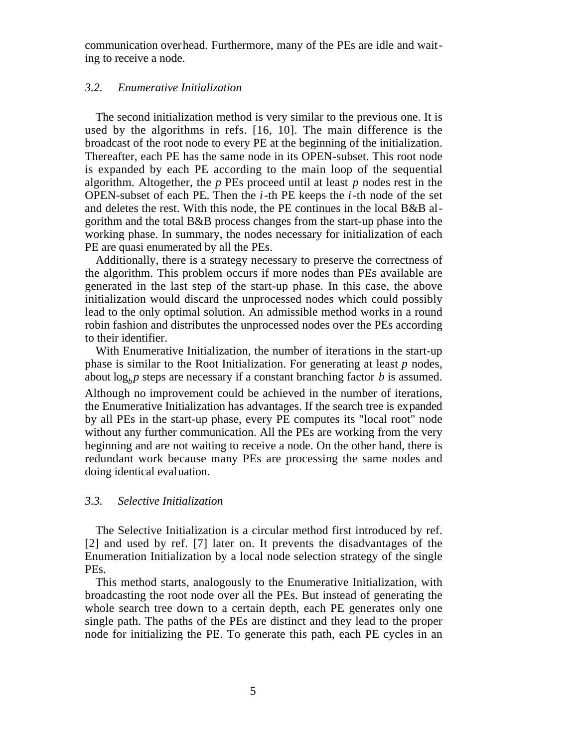communication overhead. Furthermore, many of the PEs are idle and waiting to receive a node.

## *3.2. Enumerative Initialization*

The second initialization method is very similar to the previous one. It is used by the algorithms in refs. [16, 10]. The main difference is the broadcast of the root node to every PE at the beginning of the initialization. Thereafter, each PE has the same node in its OPEN-subset. This root node is expanded by each PE according to the main loop of the sequential algorithm. Altogether, the *p* PEs proceed until at least *p* nodes rest in the OPEN-subset of each PE. Then the *i*-th PE keeps the *i*-th node of the set and deletes the rest. With this node, the PE continues in the local B&B algorithm and the total B&B process changes from the start-up phase into the working phase. In summary, the nodes necessary for initialization of each PE are quasi enumerated by all the PEs.

Additionally, there is a strategy necessary to preserve the correctness of the algorithm. This problem occurs if more nodes than PEs available are generated in the last step of the start-up phase. In this case, the above initialization would discard the unprocessed nodes which could possibly lead to the only optimal solution. An admissible method works in a round robin fashion and distributes the unprocessed nodes over the PEs according to their identifier.

With Enumerative Initialization, the number of iterations in the start-up phase is similar to the Root Initialization. For generating at least *p* nodes, about  $\log_b p$  steps are necessary if a constant branching factor *b* is assumed.

Although no improvement could be achieved in the number of iterations, the Enumerative Initialization has advantages. If the search tree is expanded by all PEs in the start-up phase, every PE computes its "local root" node without any further communication. All the PEs are working from the very beginning and are not waiting to receive a node. On the other hand, there is redundant work because many PEs are processing the same nodes and doing identical evaluation.

### *3.3. Selective Initialization*

The Selective Initialization is a circular method first introduced by ref. [2] and used by ref. [7] later on. It prevents the disadvantages of the Enumeration Initialization by a local node selection strategy of the single PEs.

This method starts, analogously to the Enumerative Initialization, with broadcasting the root node over all the PEs. But instead of generating the whole search tree down to a certain depth, each PE generates only one single path. The paths of the PEs are distinct and they lead to the proper node for initializing the PE. To generate this path, each PE cycles in an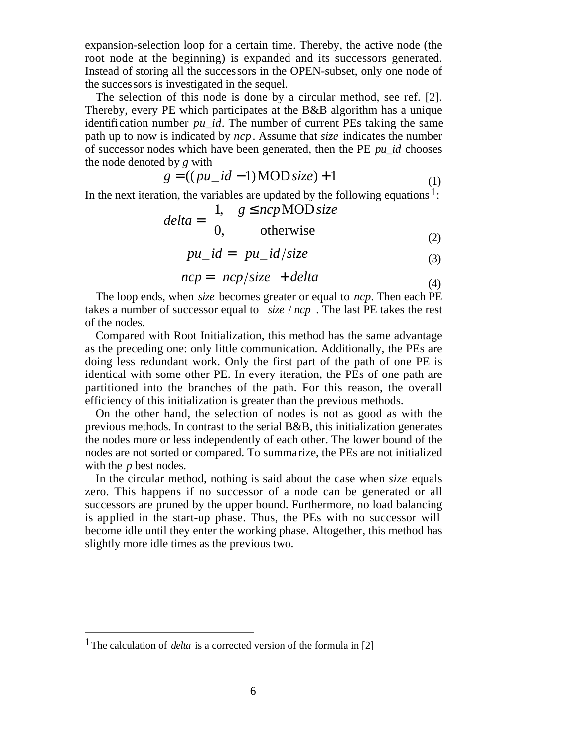expansion-selection loop for a certain time. Thereby, the active node (the root node at the beginning) is expanded and its successors generated. Instead of storing all the successors in the OPEN-subset, only one node of the successors is investigated in the sequel.

The selection of this node is done by a circular method, see ref. [2]. Thereby, every PE which participates at the B&B algorithm has a unique identification number *pu\_id*. The number of current PEs taking the same path up to now is indicated by *ncp*. Assume that *size* indicates the number of successor nodes which have been generated, then the PE *pu\_id* chooses the node denoted by *g* with

$$
g = ((pu\_id - 1) \text{MOD size}) + 1 \tag{1}
$$

In the next iteration, the variables are updated by the following equations  $1$ :

$$
delta = \begin{cases} 1, & g \leq ncp \text{MOD size} \\ 0, & \text{otherwise} \end{cases}
$$
 (2)

$$
pu\_id = \lceil pu\_id / size \rceil
$$
 (3)

$$
ncp = \lfloor ncp / size \rfloor + delta \tag{4}
$$

The loop ends, when *size* becomes greater or equal to *ncp*. Then each PE takes a number of successor equal to  $\left[\text{size} / \text{ncp}\right]$ . The last PE takes the rest of the nodes.

Compared with Root Initialization, this method has the same advantage as the preceding one: only little communication. Additionally, the PEs are doing less redundant work. Only the first part of the path of one PE is identical with some other PE. In every iteration, the PEs of one path are partitioned into the branches of the path. For this reason, the overall efficiency of this initialization is greater than the previous methods.

On the other hand, the selection of nodes is not as good as with the previous methods. In contrast to the serial B&B, this initialization generates the nodes more or less independently of each other. The lower bound of the nodes are not sorted or compared. To summarize, the PEs are not initialized with the *p* best nodes.

In the circular method, nothing is said about the case when *size* equals zero. This happens if no successor of a node can be generated or all successors are pruned by the upper bound. Furthermore, no load balancing is applied in the start-up phase. Thus, the PEs with no successor will become idle until they enter the working phase. Altogether, this method has slightly more idle times as the previous two.

<sup>&</sup>lt;sup>1</sup>The calculation of *delta* is a corrected version of the formula in [2]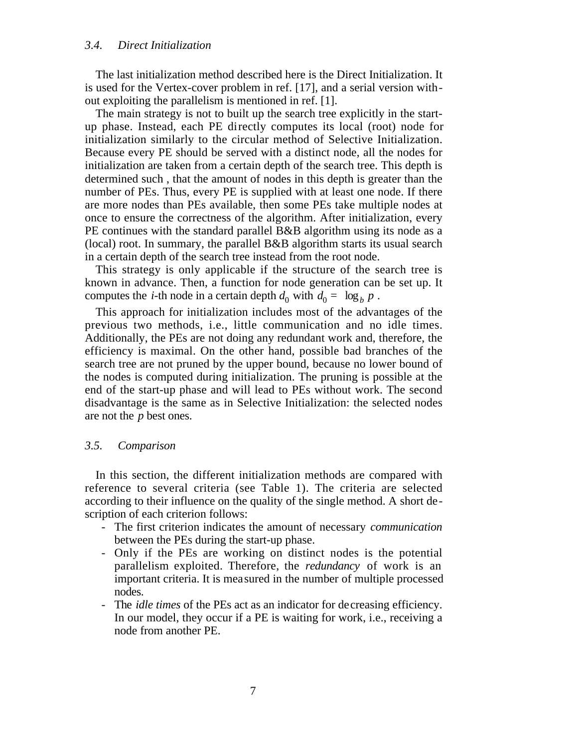The last initialization method described here is the Direct Initialization. It is used for the Vertex-cover problem in ref. [17], and a serial version without exploiting the parallelism is mentioned in ref. [1].

The main strategy is not to built up the search tree explicitly in the startup phase. Instead, each PE directly computes its local (root) node for initialization similarly to the circular method of Selective Initialization. Because every PE should be served with a distinct node, all the nodes for initialization are taken from a certain depth of the search tree. This depth is determined such , that the amount of nodes in this depth is greater than the number of PEs. Thus, every PE is supplied with at least one node. If there are more nodes than PEs available, then some PEs take multiple nodes at once to ensure the correctness of the algorithm. After initialization, every PE continues with the standard parallel B&B algorithm using its node as a (local) root. In summary, the parallel B&B algorithm starts its usual search in a certain depth of the search tree instead from the root node.

This strategy is only applicable if the structure of the search tree is known in advance. Then, a function for node generation can be set up. It computes the *i*-th node in a certain depth  $d_0$  with  $d_0 = |\log_b p|$ .

This approach for initialization includes most of the advantages of the previous two methods, i.e., little communication and no idle times. Additionally, the PEs are not doing any redundant work and, therefore, the efficiency is maximal. On the other hand, possible bad branches of the search tree are not pruned by the upper bound, because no lower bound of the nodes is computed during initialization. The pruning is possible at the end of the start-up phase and will lead to PEs without work. The second disadvantage is the same as in Selective Initialization: the selected nodes are not the *p* best ones.

## *3.5. Comparison*

In this section, the different initialization methods are compared with reference to several criteria (see Table 1). The criteria are selected according to their influence on the quality of the single method. A short description of each criterion follows:

- The first criterion indicates the amount of necessary *communication* between the PEs during the start-up phase.
- Only if the PEs are working on distinct nodes is the potential parallelism exploited. Therefore, the *redundancy* of work is an important criteria. It is measured in the number of multiple processed nodes.
- The *idle times* of the PEs act as an indicator for decreasing efficiency. In our model, they occur if a PE is waiting for work, i.e., receiving a node from another PE.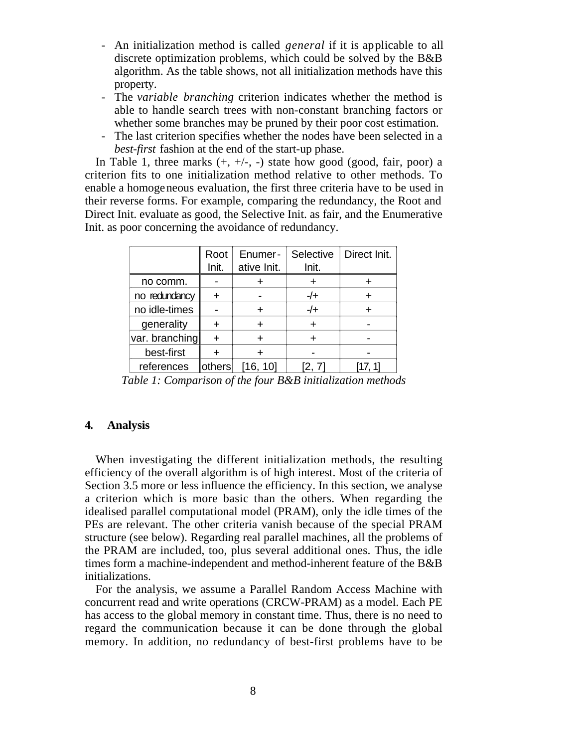- An initialization method is called *general* if it is applicable to all discrete optimization problems, which could be solved by the B&B algorithm. As the table shows, not all initialization methods have this property.
- The *variable branching* criterion indicates whether the method is able to handle search trees with non-constant branching factors or whether some branches may be pruned by their poor cost estimation.
- The last criterion specifies whether the nodes have been selected in a *best-first* fashion at the end of the start-up phase.

In Table 1, three marks  $(+, +/-, -)$  state how good (good, fair, poor) a criterion fits to one initialization method relative to other methods. To enable a homogeneous evaluation, the first three criteria have to be used in their reverse forms. For example, comparing the redundancy, the Root and Direct Init. evaluate as good, the Selective Init. as fair, and the Enumerative Init. as poor concerning the avoidance of redundancy.

|                | Root<br>Init. | Enumer-<br>ative Init. | Selective<br>Init. | Direct Init. |
|----------------|---------------|------------------------|--------------------|--------------|
| no comm.       |               |                        | ┿                  |              |
| no redundancy  | ┿             |                        | $-/+$              |              |
| no idle-times  |               |                        | $-/+$              |              |
| generality     |               |                        | +                  |              |
| var. branching |               |                        |                    |              |
| best-first     |               |                        |                    |              |
| references     | others        | [16, 10]               | [2, 7]             | [17, 1]      |
|                |               |                        |                    |              |

*Table 1: Comparison of the four B&B initialization methods*

## **4. Analysis**

When investigating the different initialization methods, the resulting efficiency of the overall algorithm is of high interest. Most of the criteria of Section 3.5 more or less influence the efficiency. In this section, we analyse a criterion which is more basic than the others. When regarding the idealised parallel computational model (PRAM), only the idle times of the PEs are relevant. The other criteria vanish because of the special PRAM structure (see below). Regarding real parallel machines, all the problems of the PRAM are included, too, plus several additional ones. Thus, the idle times form a machine-independent and method-inherent feature of the B&B initializations.

For the analysis, we assume a Parallel Random Access Machine with concurrent read and write operations (CRCW-PRAM) as a model. Each PE has access to the global memory in constant time. Thus, there is no need to regard the communication because it can be done through the global memory. In addition, no redundancy of best-first problems have to be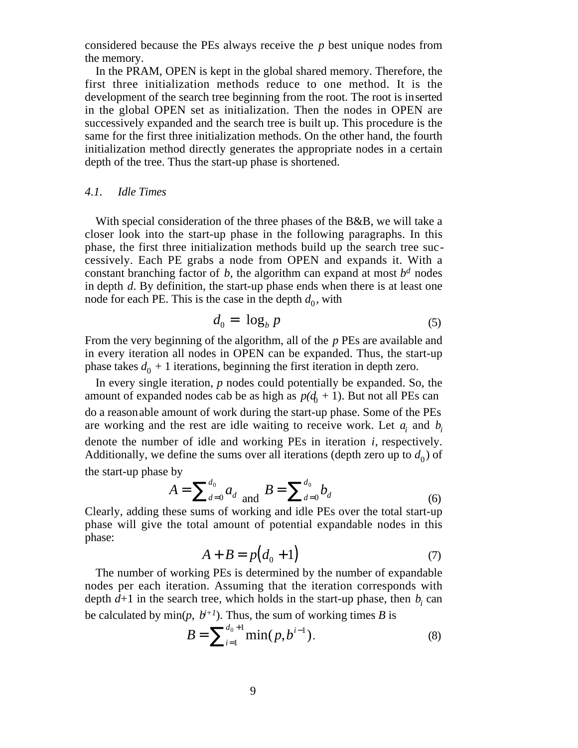considered because the PEs always receive the *p* best unique nodes from the memory.

In the PRAM, OPEN is kept in the global shared memory. Therefore, the first three initialization methods reduce to one method. It is the development of the search tree beginning from the root. The root is inserted in the global OPEN set as initialization. Then the nodes in OPEN are successively expanded and the search tree is built up. This procedure is the same for the first three initialization methods. On the other hand, the fourth initialization method directly generates the appropriate nodes in a certain depth of the tree. Thus the start-up phase is shortened.

### *4.1. Idle Times*

With special consideration of the three phases of the B&B, we will take a closer look into the start-up phase in the following paragraphs. In this phase, the first three initialization methods build up the search tree successively. Each PE grabs a node from OPEN and expands it. With a constant branching factor of  $b$ , the algorithm can expand at most  $b^d$  nodes in depth *d*. By definition, the start-up phase ends when there is at least one node for each PE. This is the case in the depth  $d_0$ , with

$$
d_0 = |\log_b p| \tag{5}
$$

From the very beginning of the algorithm, all of the *p* PEs are available and in every iteration all nodes in OPEN can be expanded. Thus, the start-up phase takes  $d_0 + 1$  iterations, beginning the first iteration in depth zero.

In every single iteration, *p* nodes could potentially be expanded. So, the amount of expanded nodes cab be as high as  $p(d_0 + 1)$ . But not all PEs can do a reasonable amount of work during the start-up phase. Some of the PEs are working and the rest are idle waiting to receive work. Let  $a_i$  and  $b_i$ denote the number of idle and working PEs in iteration *i*, respectively. Additionally, we define the sums over all iterations (depth zero up to  $d_0$ ) of the start-up phase by

$$
A = \sum_{d=0}^{d_0} a_d \, \text{and} \, B = \sum_{d=0}^{d_0} b_d \tag{6}
$$

Clearly, adding these sums of working and idle PEs over the total start-up phase will give the total amount of potential expandable nodes in this phase:

$$
A + B = p\big(d_0 + 1\big) \tag{7}
$$

The number of working PEs is determined by the number of expandable nodes per each iteration. Assuming that the iteration corresponds with depth  $d+1$  in the search tree, which holds in the start-up phase, then  $b_i$  can be calculated by  $\min(p, b^{+1})$ . Thus, the sum of working times *B* is

$$
B = \sum_{i=1}^{d_0+1} \min(p, b^{i-1}).
$$
 (8)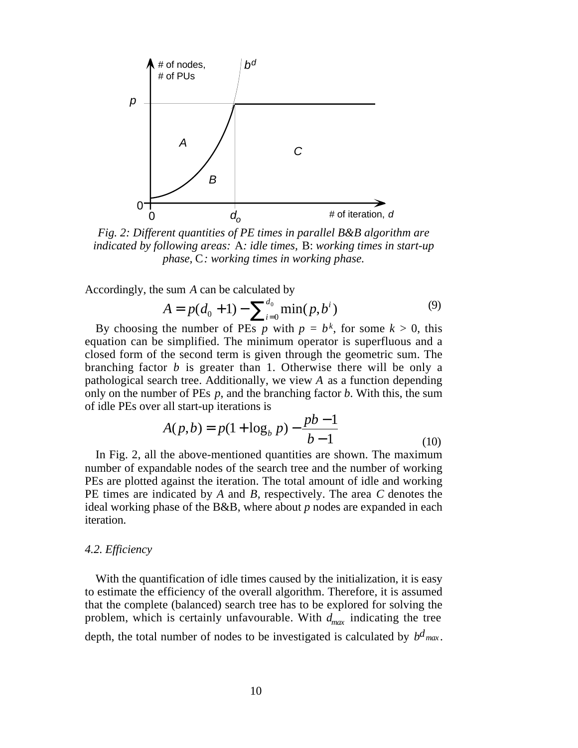

*Fig. 2: Different quantities of PE times in parallel B&B algorithm are indicated by following areas:* A*: idle times,* B: *working times in start-up phase,* C*: working times in working phase.*

Accordingly, the sum *A* can be calculated by

$$
A = p(d_0 + 1) - \sum_{i=0}^{d_0} \min(p, b^i)
$$
 (9)

By choosing the number of PEs  $p$  with  $p = b^k$ , for some  $k > 0$ , this equation can be simplified. The minimum operator is superfluous and a closed form of the second term is given through the geometric sum. The branching factor *b* is greater than 1. Otherwise there will be only a pathological search tree. Additionally, we view *A* as a function depending only on the number of PEs *p*, and the branching factor *b*. With this, the sum of idle PEs over all start-up iterations is

$$
A(p,b) = p(1 + \log_b p) - \frac{pb - 1}{b - 1}
$$
 (10)

In Fig. 2, all the above-mentioned quantities are shown. The maximum number of expandable nodes of the search tree and the number of working PEs are plotted against the iteration. The total amount of idle and working PE times are indicated by *A* and *B*, respectively. The area *C* denotes the ideal working phase of the B&B, where about *p* nodes are expanded in each iteration.

#### *4.2. Efficiency*

With the quantification of idle times caused by the initialization, it is easy to estimate the efficiency of the overall algorithm. Therefore, it is assumed that the complete (balanced) search tree has to be explored for solving the problem, which is certainly unfavourable. With  $d_{max}$  indicating the tree depth, the total number of nodes to be investigated is calculated by *b dmax* .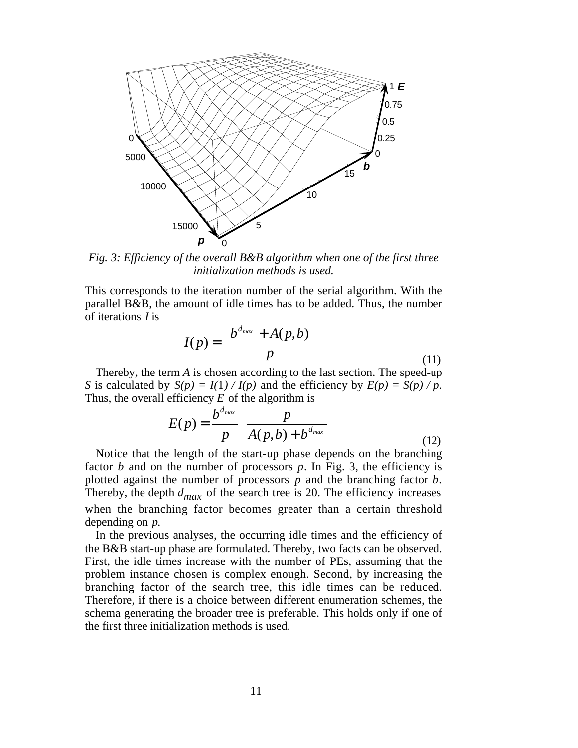

*Fig. 3: Efficiency of the overall B&B algorithm when one of the first three initialization methods is used.*

This corresponds to the iteration number of the serial algorithm. With the parallel B&B, the amount of idle times has to be added. Thus, the number of iterations *I* is

$$
I(p) = \left\lceil \frac{b^{d_{max}} + A(p, b)}{p} \right\rceil
$$
\n(11)

Thereby, the term *A* is chosen according to the last section. The speed-up *S* is calculated by  $S(p) = I(1) / I(p)$  and the efficiency by  $E(p) = S(p) / p$ . Thus, the overall efficiency *E* of the algorithm is

$$
E(p) = \frac{b^{d_{max}}}{p} \left[ \frac{p}{A(p,b) + b^{d_{max}}} \right]
$$
 (12)

Notice that the length of the start-up phase depends on the branching factor  $b$  and on the number of processors  $p$ . In Fig. 3, the efficiency is plotted against the number of processors *p* and the branching factor *b*. Thereby, the depth  $d_{max}$  of the search tree is 20. The efficiency increases when the branching factor becomes greater than a certain threshold depending on *p*.

In the previous analyses, the occurring idle times and the efficiency of the B&B start-up phase are formulated. Thereby, two facts can be observed. First, the idle times increase with the number of PEs, assuming that the problem instance chosen is complex enough. Second, by increasing the branching factor of the search tree, this idle times can be reduced. Therefore, if there is a choice between different enumeration schemes, the schema generating the broader tree is preferable. This holds only if one of the first three initialization methods is used.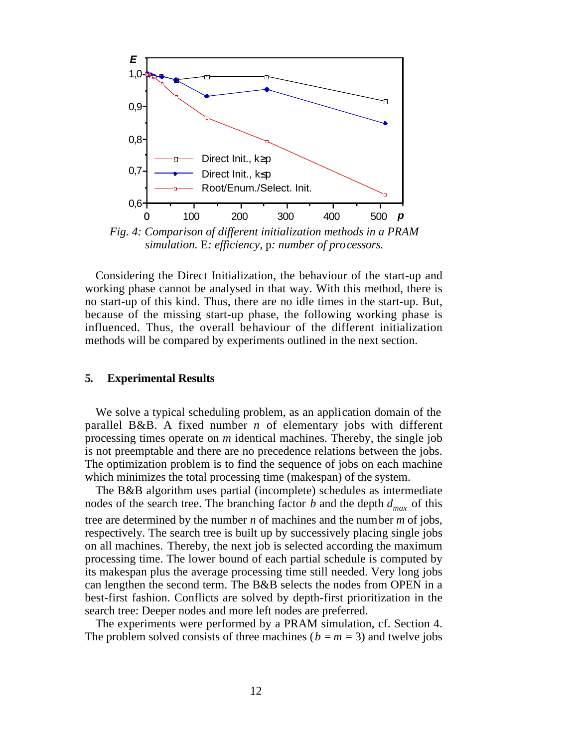

*Fig. 4: Comparison of different initialization methods in a PRAM simulation.* E*: efficiency,* p*: number of processors.*

Considering the Direct Initialization, the behaviour of the start-up and working phase cannot be analysed in that way. With this method, there is no start-up of this kind. Thus, there are no idle times in the start-up. But, because of the missing start-up phase, the following working phase is influenced. Thus, the overall behaviour of the different initialization methods will be compared by experiments outlined in the next section.

#### **5. Experimental Results**

We solve a typical scheduling problem, as an application domain of the parallel B&B. A fixed number *n* of elementary jobs with different processing times operate on *m* identical machines. Thereby, the single job is not preemptable and there are no precedence relations between the jobs. The optimization problem is to find the sequence of jobs on each machine which minimizes the total processing time (makespan) of the system.

The B&B algorithm uses partial (incomplete) schedules as intermediate nodes of the search tree. The branching factor *b* and the depth  $d_{max}$  of this tree are determined by the number *n* of machines and the number *m* of jobs, respectively. The search tree is built up by successively placing single jobs on all machines. Thereby, the next job is selected according the maximum processing time. The lower bound of each partial schedule is computed by its makespan plus the average processing time still needed. Very long jobs can lengthen the second term. The B&B selects the nodes from OPEN in a best-first fashion. Conflicts are solved by depth-first prioritization in the search tree: Deeper nodes and more left nodes are preferred.

The experiments were performed by a PRAM simulation, cf. Section 4. The problem solved consists of three machines ( $b = m = 3$ ) and twelve jobs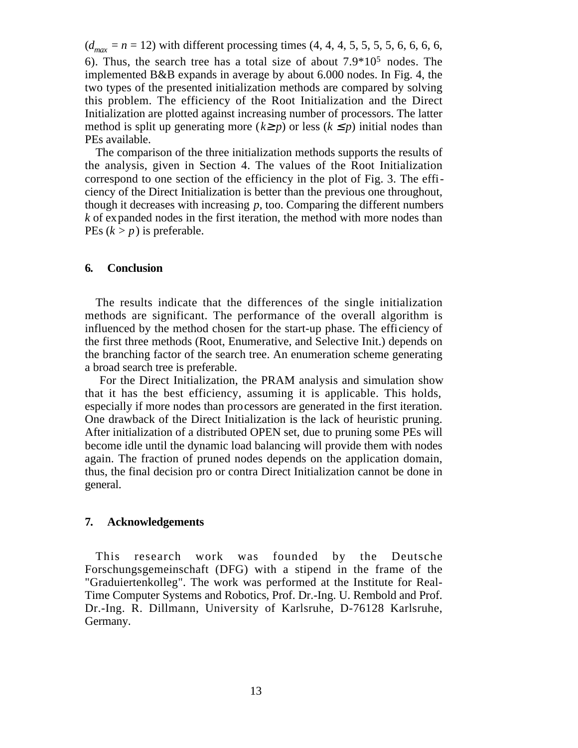$(d_{max} = n = 12)$  with different processing times  $(4, 4, 4, 5, 5, 5, 5, 6, 6, 6, 6, 6)$ 6). Thus, the search tree has a total size of about  $7.9*10<sup>5</sup>$  nodes. The implemented B&B expands in average by about 6.000 nodes. In Fig. 4, the two types of the presented initialization methods are compared by solving this problem. The efficiency of the Root Initialization and the Direct Initialization are plotted against increasing number of processors. The latter method is split up generating more  $(k \geq p)$  or less  $(k \leq p)$  initial nodes than PEs available.

The comparison of the three initialization methods supports the results of the analysis, given in Section 4. The values of the Root Initialization correspond to one section of the efficiency in the plot of Fig. 3. The efficiency of the Direct Initialization is better than the previous one throughout, though it decreases with increasing *p*, too. Comparing the different numbers *k* of expanded nodes in the first iteration, the method with more nodes than PEs  $(k > p)$  is preferable.

#### **6. Conclusion**

The results indicate that the differences of the single initialization methods are significant. The performance of the overall algorithm is influenced by the method chosen for the start-up phase. The efficiency of the first three methods (Root, Enumerative, and Selective Init.) depends on the branching factor of the search tree. An enumeration scheme generating a broad search tree is preferable.

 For the Direct Initialization, the PRAM analysis and simulation show that it has the best efficiency, assuming it is applicable. This holds, especially if more nodes than processors are generated in the first iteration. One drawback of the Direct Initialization is the lack of heuristic pruning. After initialization of a distributed OPEN set, due to pruning some PEs will become idle until the dynamic load balancing will provide them with nodes again. The fraction of pruned nodes depends on the application domain, thus, the final decision pro or contra Direct Initialization cannot be done in general.

#### **7. Acknowledgements**

This research work was founded by the Deutsche Forschungsgemeinschaft (DFG) with a stipend in the frame of the "Graduiertenkolleg". The work was performed at the Institute for Real-Time Computer Systems and Robotics, Prof. Dr.-Ing. U. Rembold and Prof. Dr.-Ing. R. Dillmann, University of Karlsruhe, D-76128 Karlsruhe, Germany.